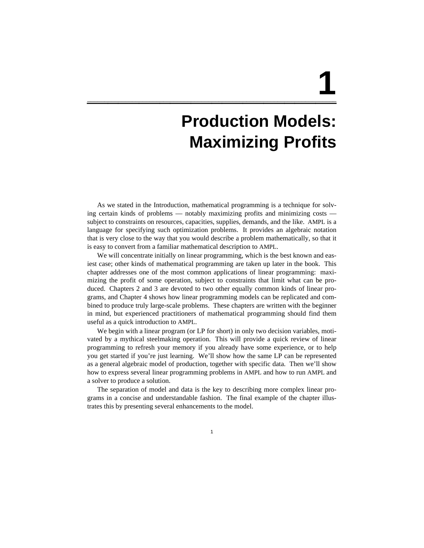# \_\_\_\_\_\_\_\_\_\_\_\_\_\_\_\_\_\_\_\_\_\_\_\_\_\_\_\_\_\_\_\_\_\_\_\_\_\_\_\_\_\_\_\_\_\_\_\_\_\_\_\_\_\_\_\_\_\_\_\_\_\_\_\_\_\_\_\_\_\_\_\_ \_\_\_\_\_\_\_\_\_\_\_\_\_\_\_\_\_\_\_\_\_\_\_\_**1**

# **Production Models: Maximizing Profits**

As we stated in the Introduction, mathematical programming is a technique for solving certain kinds of problems — notably maximizing profits and minimizing costs subject to constraints on resources, capacities, supplies, demands, and the like. AMPL is a language for specifying such optimization problems. It provides an algebraic notation that is very close to the way that you would describe a problem mathematically, so that it is easy to convert from a familiar mathematical description to AMPL.

We will concentrate initially on linear programming, which is the best known and easiest case; other kinds of mathematical programming are taken up later in the book. This chapter addresses one of the most common applications of linear programming: maximizing the profit of some operation, subject to constraints that limit what can be produced. Chapters 2 and 3 are devoted to two other equally common kinds of linear programs, and Chapter 4 shows how linear programming models can be replicated and combined to produce truly large-scale problems. These chapters are written with the beginner in mind, but experienced practitioners of mathematical programming should find them useful as a quick introduction to AMPL.

We begin with a linear program (or LP for short) in only two decision variables, motivated by a mythical steelmaking operation. This will provide a quick review of linear programming to refresh your memory if you already have some experience, or to help you get started if you're just learning. We'll show how the same LP can be represented as a general algebraic model of production, together with specific data. Then we'll show how to express several linear programming problems in AMPL and how to run AMPL and a solver to produce a solution.

The separation of model and data is the key to describing more complex linear programs in a concise and understandable fashion. The final example of the chapter illustrates this by presenting several enhancements to the model.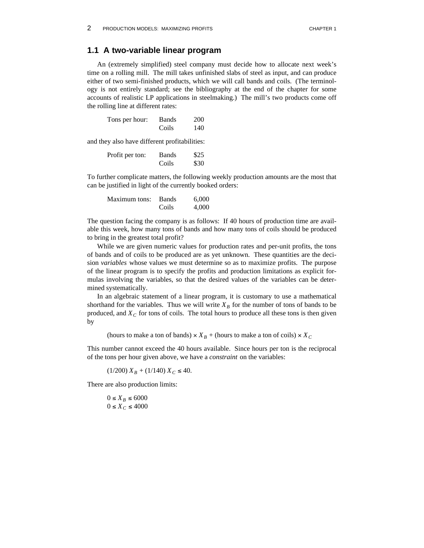## **1.1 A two-variable linear program**

An (extremely simplified) steel company must decide how to allocate next week's time on a rolling mill. The mill takes unfinished slabs of steel as input, and can produce either of two semi-finished products, which we will call bands and coils. (The terminology is not entirely standard; see the bibliography at the end of the chapter for some accounts of realistic LP applications in steelmaking.) The mill's two products come off the rolling line at different rates:

| Tons per hour: | <b>Bands</b> | 200 |
|----------------|--------------|-----|
|                | Coils        | 140 |

and they also have different profitabilities:

| Profit per ton: | <b>Bands</b> | \$25 |
|-----------------|--------------|------|
|                 | Coils        | \$30 |

To further complicate matters, the following weekly production amounts are the most that can be justified in light of the currently booked orders:

| Maximum tons: | <b>Bands</b> | 6,000 |
|---------------|--------------|-------|
|               | Coils        | 4,000 |

The question facing the company is as follows: If 40 hours of production time are available this week, how many tons of bands and how many tons of coils should be produced to bring in the greatest total profit?

While we are given numeric values for production rates and per-unit profits, the tons of bands and of coils to be produced are as yet unknown. These quantities are the decision *variables* whose values we must determine so as to maximize profits. The purpose of the linear program is to specify the profits and production limitations as explicit formulas involving the variables, so that the desired values of the variables can be determined systematically.

In an algebraic statement of a linear program, it is customary to use a mathematical shorthand for the variables. Thus we will write  $X_B$  for the number of tons of bands to be produced, and  $X_c$  for tons of coils. The total hours to produce all these tons is then given by

(hours to make a ton of bands)  $\times X_B$  + (hours to make a ton of coils)  $\times X_C$ 

This number cannot exceed the 40 hours available. Since hours per ton is the reciprocal of the tons per hour given above, we have a *constraint* on the variables:

 $(1/200) X_B + (1/140) X_C \le 40.$ 

There are also production limits:

$$
0 \le X_B \le 6000
$$
  

$$
0 \le X_C \le 4000
$$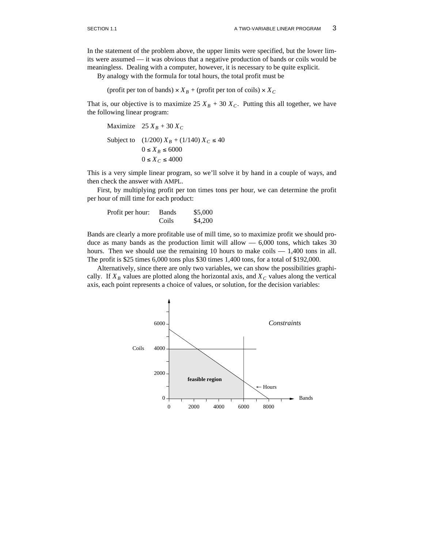In the statement of the problem above, the upper limits were specified, but the lower limits were assumed — it was obvious that a negative production of bands or coils would be meaningless. Dealing with a computer, however, it is necessary to be quite explicit.

By analogy with the formula for total hours, the total profit must be

(profit per ton of bands)  $\times X_B$  + (profit per ton of coils)  $\times X_C$ 

That is, our objective is to maximize 25  $X_B$  + 30  $X_C$ . Putting this all together, we have the following linear program:

Maximize 
$$
25 X_B + 30 X_C
$$
  
Subject to  $(1/200) X_B + (1/140) X_C \le 40$   
 $0 \le X_B \le 6000$   
 $0 \le X_C \le 4000$ 

This is a very simple linear program, so we'll solve it by hand in a couple of ways, and then check the answer with AMPL.

First, by multiplying profit per ton times tons per hour, we can determine the profit per hour of mill time for each product:

| Profit per hour: | Bands | \$5,000 |
|------------------|-------|---------|
|                  | Coils | \$4,200 |

Bands are clearly a more profitable use of mill time, so to maximize profit we should produce as many bands as the production limit will allow  $-6,000$  tons, which takes 30 hours. Then we should use the remaining 10 hours to make coils  $-1,400$  tons in all. The profit is \$25 times 6,000 tons plus \$30 times 1,400 tons, for a total of \$192,000.

Alternatively, since there are only two variables, we can show the possibilities graphically. If  $X_B$  values are plotted along the horizontal axis, and  $X_C$  values along the vertical axis, each point represents a choice of values, or solution, for the decision variables:

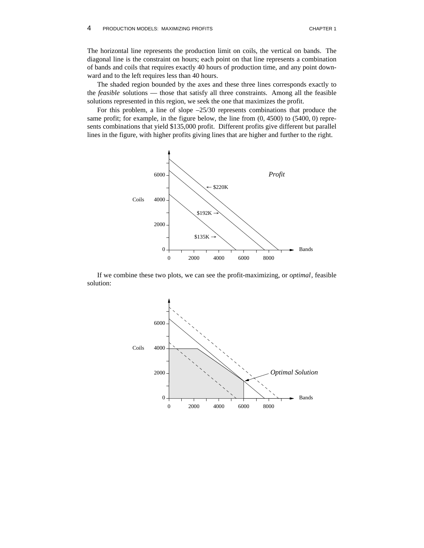The horizontal line represents the production limit on coils, the vertical on bands. The diagonal line is the constraint on hours; each point on that line represents a combination of bands and coils that requires exactly 40 hours of production time, and any point downward and to the left requires less than 40 hours.

The shaded region bounded by the axes and these three lines corresponds exactly to the *feasible* solutions — those that satisfy all three constraints. Among all the feasible solutions represented in this region, we seek the one that maximizes the profit.

For this problem, a line of slope –25/30 represents combinations that produce the same profit; for example, in the figure below, the line from (0, 4500) to (5400, 0) represents combinations that yield \$135,000 profit. Different profits give different but parallel lines in the figure, with higher profits giving lines that are higher and further to the right.



If we combine these two plots, we can see the profit-maximizing, or *optimal*, feasible solution:

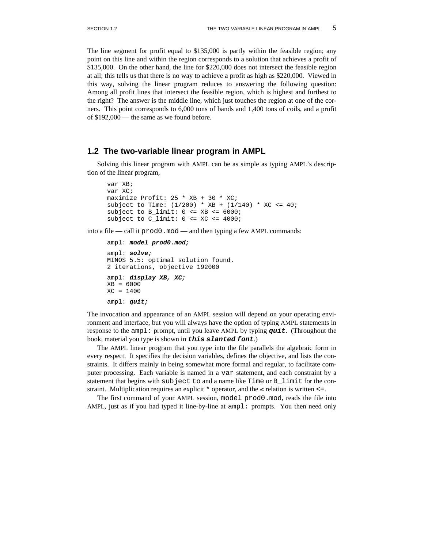The line segment for profit equal to \$135,000 is partly within the feasible region; any point on this line and within the region corresponds to a solution that achieves a profit of \$135,000. On the other hand, the line for \$220,000 does not intersect the feasible region at all; this tells us that there is no way to achieve a profit as high as \$220,000. Viewed in this way, solving the linear program reduces to answering the following question: Among all profit lines that intersect the feasible region, which is highest and furthest to the right? The answer is the middle line, which just touches the region at one of the corners. This point corresponds to 6,000 tons of bands and 1,400 tons of coils, and a profit of \$192,000 — the same as we found before.

# **1.2 The two-variable linear program in AMPL**

Solving this linear program with AMPL can be as simple as typing AMPL's description of the linear program,

```
var XB;
var XC;
maximize Profit: 25 * XB + 30 * XC;
subject to Time: (1/200) * XB + (1/140) * XC <= 40;subject to B_llimit: 0 \leq XB \leq 6000;
subject to C_llimit: 0 \leq XC \leq 4000;
```
into a file — call it prod0.mod — and then typing a few AMPL commands:

```
ampl: model prod0.mod;
ampl: solve;
MINOS 5.5: optimal solution found.
2 iterations, objective 192000
ampl: display XB, XC;
XB = 6000XC = 1400ampl: quit;
```
The invocation and appearance of an AMPL session will depend on your operating environment and interface, but you will always have the option of typing AMPL statements in response to the ampl: prompt, until you leave AMPL by typing **quit**. (Throughout the book, material you type is shown in **this slanted font**.)

The AMPL linear program that you type into the file parallels the algebraic form in every respect. It specifies the decision variables, defines the objective, and lists the constraints. It differs mainly in being somewhat more formal and regular, to facilitate computer processing. Each variable is named in a var statement, and each constraint by a statement that begins with subject to and a name like Time or B\_limit for the constraint. Multiplication requires an explicit  $*$  operator, and the  $\leq$  relation is written  $\leq$ .

The first command of your AMPL session, model prod0.mod, reads the file into AMPL, just as if you had typed it line-by-line at ampl: prompts. You then need only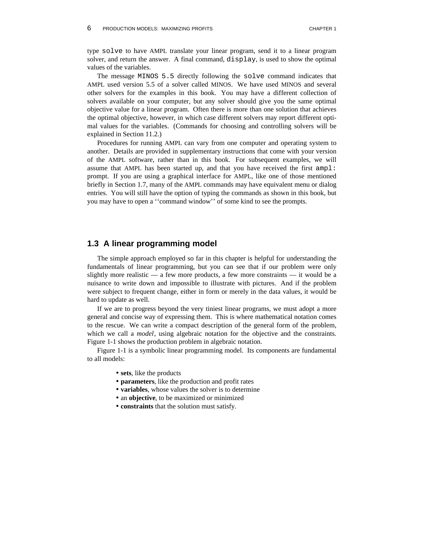type solve to have AMPL translate your linear program, send it to a linear program solver, and return the answer. A final command, display, is used to show the optimal values of the variables.

The message MINOS 5.5 directly following the solve command indicates that AMPL used version 5.5 of a solver called MINOS. We have used MINOS and several other solvers for the examples in this book. You may have a different collection of solvers available on your computer, but any solver should give you the same optimal objective value for a linear program. Often there is more than one solution that achieves the optimal objective, however, in which case different solvers may report different optimal values for the variables. (Commands for choosing and controlling solvers will be explained in Section 11.2.)

Procedures for running AMPL can vary from one computer and operating system to another. Details are provided in supplementary instructions that come with your version of the AMPL software, rather than in this book. For subsequent examples, we will assume that AMPL has been started up, and that you have received the first ampl: prompt. If you are using a graphical interface for AMPL, like one of those mentioned briefly in Section 1.7, many of the AMPL commands may have equivalent menu or dialog entries. You will still have the option of typing the commands as shown in this book, but you may have to open a ''command window'' of some kind to see the prompts.

#### **1.3 A linear programming model**

The simple approach employed so far in this chapter is helpful for understanding the fundamentals of linear programming, but you can see that if our problem were only slightly more realistic — a few more products, a few more constraints — it would be a nuisance to write down and impossible to illustrate with pictures. And if the problem were subject to frequent change, either in form or merely in the data values, it would be hard to update as well.

If we are to progress beyond the very tiniest linear programs, we must adopt a more general and concise way of expressing them. This is where mathematical notation comes to the rescue. We can write a compact description of the general form of the problem, which we call a *model*, using algebraic notation for the objective and the constraints. Figure 1-1 shows the production problem in algebraic notation.

Figure 1-1 is a symbolic linear programming model. Its components are fundamental to all models:

- **sets**, like the products
- **parameters**, like the production and profit rates
- **variables**, whose values the solver is to determine
- an **objective**, to be maximized or minimized
- **constraints** that the solution must satisfy.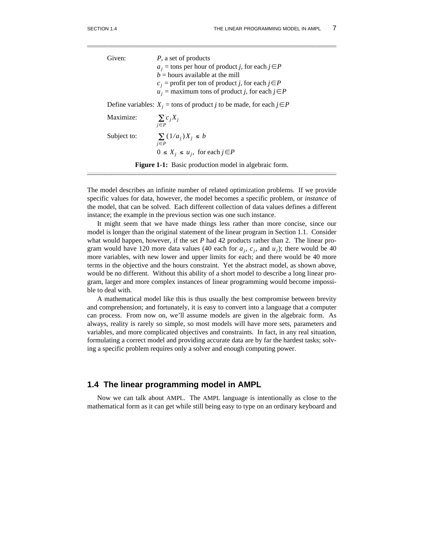| Given:      | $P$ , a set of products                                                    |
|-------------|----------------------------------------------------------------------------|
|             | $a_i$ = tons per hour of product j, for each $j \in P$                     |
|             | $b =$ hours available at the mill                                          |
|             | $c_i$ = profit per ton of product j, for each $j \in P$                    |
|             | $u_i$ = maximum tons of product j, for each $j \in P$                      |
|             | Define variables: $X_i$ = tons of product j to be made, for each $j \in P$ |
| Maximize:   | $\sum c_i X_i$<br>$i \in P$                                                |
| Subject to: | $\sum (1/a_i)X_i \leq b$<br>$i \in P$                                      |
|             | $0 \le X_j \le u_j$ , for each $j \in P$                                   |
|             | <b>Figure 1-1:</b> Basic production model in algebraic form.               |

The model describes an infinite number of related optimization problems. If we provide specific values for data, however, the model becomes a specific problem, or *instance* of the model, that can be solved. Each different collection of data values defines a different instance; the example in the previous section was one such instance.

It might seem that we have made things less rather than more concise, since our model is longer than the original statement of the linear program in Section 1.1. Consider what would happen, however, if the set *P* had 42 products rather than 2. The linear program would have 120 more data values (40 each for  $a_j$ ,  $c_j$ , and  $u_j$ ); there would be 40 more variables, with new lower and upper limits for each; and there would be 40 more terms in the objective and the hours constraint. Yet the abstract model, as shown above, would be no different. Without this ability of a short model to describe a long linear program, larger and more complex instances of linear programming would become impossible to deal with.

A mathematical model like this is thus usually the best compromise between brevity and comprehension; and fortunately, it is easy to convert into a language that a computer can process. From now on, we'll assume models are given in the algebraic form. As always, reality is rarely so simple, so most models will have more sets, parameters and variables, and more complicated objectives and constraints. In fact, in any real situation, formulating a correct model and providing accurate data are by far the hardest tasks; solving a specific problem requires only a solver and enough computing power.

# **1.4 The linear programming model in AMPL**

Now we can talk about AMPL. The AMPL language is intentionally as close to the mathematical form as it can get while still being easy to type on an ordinary keyboard and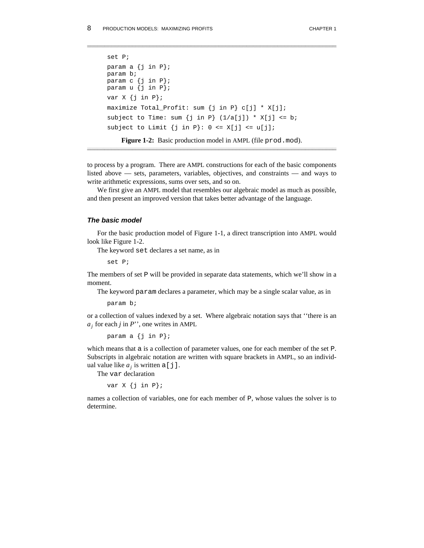```
set P;
param a \{j \text{ in } P\};
param b;
param c \{j \text{ in } P\};
param u \{j \text{ in } P\};
var X \{j \in P\};
maximize Total Profit: sum {j \text{ in } P} c[j] * X[j];
subject to Time: sum \{j \text{ in } P\} (1/a[j]) * X[j] <= b;
subject to Limit \{j \text{ in } P\}: 0 <= X[j] <= u[j];
```
Figure 1-2: Basic production model in AMPL (file prod.mod). \_\_\_\_\_\_\_\_\_\_\_\_\_\_\_\_\_\_\_\_\_\_\_\_\_\_\_\_\_\_\_\_\_\_\_\_\_\_\_\_\_\_\_\_\_\_\_\_\_\_\_\_\_\_\_\_\_\_\_\_\_\_\_\_\_\_\_\_\_\_\_\_ \_\_\_\_\_\_\_\_\_\_\_\_\_\_\_\_\_\_\_\_\_\_\_\_\_\_\_\_\_\_\_\_\_\_\_\_\_\_\_\_\_\_\_\_\_\_\_\_\_\_\_\_\_

to process by a program. There are AMPL constructions for each of the basic components listed above — sets, parameters, variables, objectives, and constraints — and ways to write arithmetic expressions, sums over sets, and so on.

We first give an AMPL model that resembles our algebraic model as much as possible, and then present an improved version that takes better advantage of the language.

#### **The basic model**

For the basic production model of Figure 1-1, a direct transcription into AMPL would look like Figure 1-2.

The keyword set declares a set name, as in

\_\_\_\_\_\_\_\_\_\_\_\_\_\_\_\_\_\_\_\_\_\_\_\_\_\_\_\_\_\_\_\_\_\_\_\_\_\_\_\_\_\_\_\_\_\_\_\_\_\_\_\_\_\_\_\_\_\_\_\_\_\_\_\_\_\_\_\_\_\_\_\_\_\_\_\_\_\_\_\_\_\_\_\_\_\_\_\_\_\_\_\_\_\_\_\_\_\_\_\_\_\_\_\_\_\_\_\_\_\_\_\_\_\_\_\_\_\_\_\_\_\_\_\_\_\_\_

set P;

The members of set P will be provided in separate data statements, which we'll show in a moment.

The keyword param declares a parameter, which may be a single scalar value, as in

param b;

or a collection of values indexed by a set. Where algebraic notation says that ''there is an  $a_j$  for each *j* in *P*'', one writes in AMPL

```
param a \{j \text{ in } P\};
```
which means that a is a collection of parameter values, one for each member of the set P. Subscripts in algebraic notation are written with square brackets in AMPL, so an individual value like  $a_j$  is written a [j].

The var declaration

var  $X \{j \in P\}$ ;

names a collection of variables, one for each member of P, whose values the solver is to determine.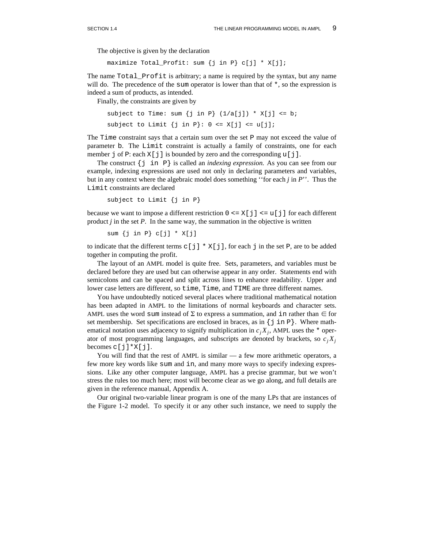The objective is given by the declaration

maximize Total\_Profit: sum {j in P} c[j] \*  $X[j]$ ;

The name Total\_Profit is arbitrary; a name is required by the syntax, but any name will do. The precedence of the sum operator is lower than that of  $\star$ , so the expression is indeed a sum of products, as intended.

Finally, the constraints are given by

subject to Time: sum  $\{j \text{ in } P\}$  (1/a[j]) \* X[j] <= b; subject to Limit  $\{j \text{ in } P\}$ : 0 <= X[j] <= u[j];

The Time constraint says that a certain sum over the set P may not exceed the value of parameter b. The Limit constraint is actually a family of constraints, one for each member  $j$  of P: each  $X[j]$  is bounded by zero and the corresponding  $u[j]$ .

The construct {j in P} is called an *indexing expression.* As you can see from our example, indexing expressions are used not only in declaring parameters and variables, but in any context where the algebraic model does something ''for each *j* in *P*''. Thus the Limit constraints are declared

subject to Limit {j in P}

because we want to impose a different restriction  $0 \le x \mid j \le u \mid j$  for each different product *j* in the set *P*. In the same way, the summation in the objective is written

sum  $\{j \in P\}$  c[j] \* X[j]

to indicate that the different terms  $c[j] * X[j]$ , for each j in the set P, are to be added together in computing the profit.

The layout of an AMPL model is quite free. Sets, parameters, and variables must be declared before they are used but can otherwise appear in any order. Statements end with semicolons and can be spaced and split across lines to enhance readability. Upper and lower case letters are different, so time, Time, and TIME are three different names.

You have undoubtedly noticed several places where traditional mathematical notation has been adapted in AMPL to the limitations of normal keyboards and character sets. AMPL uses the word sum instead of  $\Sigma$  to express a summation, and in rather than  $\in$  for set membership. Set specifications are enclosed in braces, as in  $\{j \text{ in } P\}$ . Where mathematical notation uses adjacency to signify multiplication in  $c_j X_j$ , AMPL uses the  $*$  operator of most programming languages, and subscripts are denoted by brackets, so  $c_j X_j$ becomes  $c[j]*X[j]$ .

You will find that the rest of AMPL is similar — a few more arithmetic operators, a few more key words like sum and in, and many more ways to specify indexing expressions. Like any other computer language, AMPL has a precise grammar, but we won't stress the rules too much here; most will become clear as we go along, and full details are given in the reference manual, Appendix A.

Our original two-variable linear program is one of the many LPs that are instances of the Figure 1-2 model. To specify it or any other such instance, we need to supply the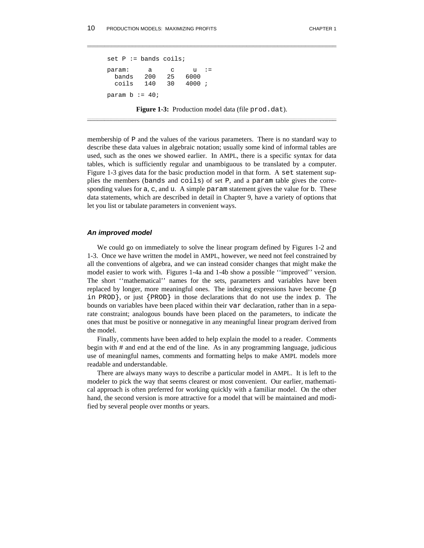```
set P := bands coils;param: a c u :=
 bands 200 25 6000
 coils 140 30 4000 ;
param b := 40;
```
\_\_\_\_\_\_\_\_\_\_\_\_\_\_\_\_\_\_\_\_\_\_\_\_\_\_\_\_\_\_\_\_\_\_\_\_\_\_\_\_\_\_\_\_\_\_\_\_\_\_\_\_\_\_\_\_\_\_\_\_\_\_\_\_\_\_\_\_\_\_\_\_\_\_\_\_\_\_\_\_\_\_\_\_\_\_\_\_\_\_\_\_\_\_\_\_\_\_\_\_\_\_\_\_\_\_\_\_\_\_\_\_\_\_\_\_\_\_\_\_\_\_\_\_\_\_\_

Figure 1-3: Production model data (file prod.dat). \_\_\_\_\_\_\_\_\_\_\_\_\_\_\_\_\_\_\_\_\_\_\_\_\_\_\_\_\_\_\_\_\_\_\_\_\_\_\_\_\_\_\_\_\_\_\_\_\_\_\_\_\_\_\_\_\_\_\_\_\_\_\_\_\_\_\_\_\_\_\_\_ \_\_\_\_\_\_\_\_\_\_\_\_\_\_\_\_\_\_\_\_\_\_\_\_\_\_\_\_\_\_\_\_\_\_\_\_\_\_\_\_\_\_\_\_\_\_\_\_\_\_\_\_\_

\_\_\_\_\_\_\_\_\_\_\_\_\_\_\_\_\_\_\_\_\_\_\_\_\_\_\_\_\_\_\_\_\_\_\_\_\_\_\_\_\_\_\_\_\_\_\_\_\_\_\_\_\_\_\_\_\_\_\_\_\_\_\_\_\_\_\_\_\_\_\_\_ \_\_\_\_\_\_\_\_\_\_\_\_\_\_\_\_\_\_\_\_\_\_\_\_\_\_\_\_\_\_\_\_\_\_\_\_\_\_\_\_\_\_\_\_\_\_\_\_\_\_\_\_\_\_\_\_\_\_\_\_\_\_\_\_\_\_\_\_\_\_\_\_\_\_\_\_\_\_\_\_\_\_\_\_\_\_\_\_\_\_\_\_\_\_\_\_\_\_\_\_\_\_\_\_\_\_\_\_\_\_\_\_\_\_\_\_\_\_\_\_\_\_\_\_\_\_\_\_\_\_\_\_\_\_\_\_\_\_\_\_\_\_\_\_\_\_\_\_\_\_\_\_\_\_\_\_\_\_\_\_\_\_\_\_\_\_\_\_\_\_\_\_\_\_\_\_\_\_\_\_

membership of P and the values of the various parameters. There is no standard way to describe these data values in algebraic notation; usually some kind of informal tables are used, such as the ones we showed earlier. In AMPL, there is a specific syntax for data tables, which is sufficiently regular and unambiguous to be translated by a computer. Figure 1-3 gives data for the basic production model in that form. A set statement supplies the members (bands and coils) of set P, and a param table gives the corresponding values for a, c, and u. A simple param statement gives the value for b. These data statements, which are described in detail in Chapter 9, have a variety of options that let you list or tabulate parameters in convenient ways.

#### **An improved model**

We could go on immediately to solve the linear program defined by Figures 1-2 and 1-3. Once we have written the model in AMPL, however, we need not feel constrained by all the conventions of algebra, and we can instead consider changes that might make the model easier to work with. Figures 1-4a and 1-4b show a possible ''improved'' version. The short ''mathematical'' names for the sets, parameters and variables have been replaced by longer, more meaningful ones. The indexing expressions have become {p in PROD}, or just {PROD} in those declarations that do not use the index p. The bounds on variables have been placed within their var declaration, rather than in a separate constraint; analogous bounds have been placed on the parameters, to indicate the ones that must be positive or nonnegative in any meaningful linear program derived from the model.

Finally, comments have been added to help explain the model to a reader. Comments begin with # and end at the end of the line. As in any programming language, judicious use of meaningful names, comments and formatting helps to make AMPL models more readable and understandable.

There are always many ways to describe a particular model in AMPL. It is left to the modeler to pick the way that seems clearest or most convenient. Our earlier, mathematical approach is often preferred for working quickly with a familiar model. On the other hand, the second version is more attractive for a model that will be maintained and modified by several people over months or years.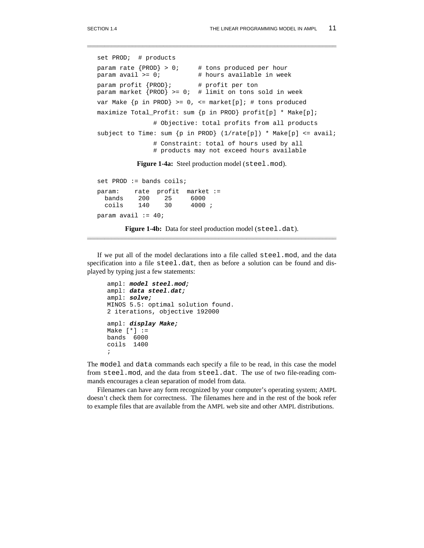```
set PROD; # products
param rate {PROD} > 0; # tons produced per hour
param \ available = 0; \# \ hours \ available in week
param profit {PROD}; # profit per ton
param market \{PROD\} >= 0; # limit on tons sold in week
var Make {p \text{ in } PROD} >= 0, <= market[p]; # tons produced
maximize Total_Profit: sum {p in PROD} profit[p] * Make[p];
               # Objective: total profits from all products
subject to Time: sum \{p \text{ in } PROD\} (1/rate[p]) * Make[p] <= avail;
               # Constraint: total of hours used by all
               # products may not exceed hours available
           Figure 1-4a: Steel production model (steel.mod).
```
set PROD := bands coils; param: rate profit market := bands 200 25 6000<br>coils 140 30 4000  $4000 i$ param avail  $:= 40;$ 

\_\_\_\_\_\_\_\_\_\_\_\_\_\_\_\_\_\_\_\_\_\_\_\_\_\_\_\_\_\_\_\_\_\_\_\_\_\_\_\_\_\_\_\_\_\_\_\_\_\_\_\_\_\_\_\_\_\_\_\_\_\_\_\_\_\_\_\_\_\_\_\_\_\_\_\_\_\_\_\_\_\_\_\_\_\_\_\_\_\_\_\_\_\_\_\_\_\_\_\_\_\_\_\_\_\_\_\_\_\_\_\_\_\_\_\_\_\_\_\_\_\_\_\_\_\_\_

Figure 1-4b: Data for steel production model (steel.dat).  $\mathcal{L} = \{ \mathcal{L} = \{ \mathcal{L} = \{ \mathcal{L} = \mathcal{L} \} \mid \mathcal{L} = \{ \mathcal{L} = \{ \mathcal{L} = \mathcal{L} = \mathcal{L} = \mathcal{L} = \mathcal{L} = \mathcal{L} = \mathcal{L} = \mathcal{L} = \mathcal{L} = \mathcal{L} = \mathcal{L} = \mathcal{L} = \mathcal{L} = \mathcal{L} = \mathcal{L} = \mathcal{L} = \mathcal{L} = \mathcal{L} = \mathcal{L} = \mathcal{L} = \mathcal{L} = \mathcal{L} = \mathcal{$ 

If we put all of the model declarations into a file called steel.mod, and the data specification into a file steel.dat, then as before a solution can be found and displayed by typing just a few statements:

```
ampl: model steel.mod;
ampl: data steel.dat;
ampl: solve;
MINOS 5.5: optimal solution found.
2 iterations, objective 192000
ampl: display Make;
Make [*] :=bands 6000
coils 1400
;
```
The model and data commands each specify a file to be read, in this case the model from steel.mod, and the data from steel.dat. The use of two file-reading commands encourages a clean separation of model from data.

Filenames can have any form recognized by your computer's operating system; AMPL doesn't check them for correctness. The filenames here and in the rest of the book refer to example files that are available from the AMPL web site and other AMPL distributions.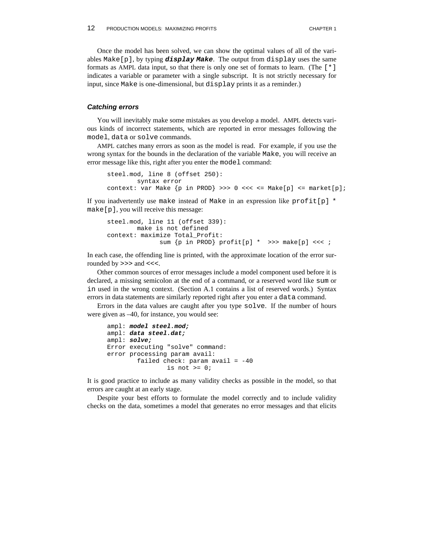Once the model has been solved, we can show the optimal values of all of the variables Make[p], by typing **display Make**. The output from display uses the same formats as AMPL data input, so that there is only one set of formats to learn. (The  $[\star]$ indicates a variable or parameter with a single subscript. It is not strictly necessary for input, since Make is one-dimensional, but display prints it as a reminder.)

#### **Catching errors**

You will inevitably make some mistakes as you develop a model. AMPL detects various kinds of incorrect statements, which are reported in error messages following the model, data or solve commands.

AMPL catches many errors as soon as the model is read. For example, if you use the wrong syntax for the bounds in the declaration of the variable Make, you will receive an error message like this, right after you enter the model command:

```
steel.mod, line 8 (offset 250):
        syntax error
context: var Make \{p \text{ in PROD}\} >> 0 << -1 Make[p] < = market[p];
```
If you inadvertently use make instead of Make in an expression like  $\text{profit}[p]$  \* make[p], you will receive this message:

```
steel.mod, line 11 (offset 339):
       make is not defined
context: maximize Total_Profit:
             sum {p in PROD} profit[p] * >>> make[p] <<< ;
```
In each case, the offending line is printed, with the approximate location of the error surrounded by >>> and <<<.

Other common sources of error messages include a model component used before it is declared, a missing semicolon at the end of a command, or a reserved word like sum or in used in the wrong context. (Section A.1 contains a list of reserved words.) Syntax errors in data statements are similarly reported right after you enter a data command.

Errors in the data values are caught after you type solve. If the number of hours were given as –40, for instance, you would see:

```
ampl: model steel.mod;
ampl: data steel.dat;
ampl: solve;
Error executing "solve" command:
error processing param avail:
        failed check: param avail = -40is not >= 0;
```
It is good practice to include as many validity checks as possible in the model, so that errors are caught at an early stage.

Despite your best efforts to formulate the model correctly and to include validity checks on the data, sometimes a model that generates no error messages and that elicits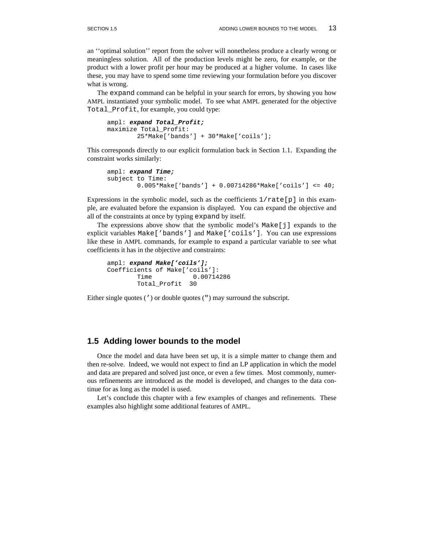an ''optimal solution'' report from the solver will nonetheless produce a clearly wrong or meaningless solution. All of the production levels might be zero, for example, or the product with a lower profit per hour may be produced at a higher volume. In cases like these, you may have to spend some time reviewing your formulation before you discover what is wrong.

The expand command can be helpful in your search for errors, by showing you how AMPL instantiated your symbolic model. To see what AMPL generated for the objective Total\_Profit, for example, you could type:

```
ampl: expand Total_Profit;
maximize Total_Profit:
        25*Make['bands'] + 30*Make['coils'];
```
This corresponds directly to our explicit formulation back in Section 1.1. Expanding the constraint works similarly:

```
ampl: expand Time;
subject to Time:
        0.005*Make['bands'] + 0.00714286*Make['coils'] <= 40;
```
Expressions in the symbolic model, such as the coefficients  $1/\text{rate}[p]$  in this example, are evaluated before the expansion is displayed. You can expand the objective and all of the constraints at once by typing expand by itself.

The expressions above show that the symbolic model's Make[j] expands to the explicit variables Make['bands'] and Make['coils']. You can use expressions like these in AMPL commands, for example to expand a particular variable to see what coefficients it has in the objective and constraints:

```
ampl: expand Make['coils'];
Coefficients of Make['coils']:
       Time 0.00714286
       Total_Profit 30
```
Either single quotes (') or double quotes (") may surround the subscript.

#### **1.5 Adding lower bounds to the model**

Once the model and data have been set up, it is a simple matter to change them and then re-solve. Indeed, we would not expect to find an LP application in which the model and data are prepared and solved just once, or even a few times. Most commonly, numerous refinements are introduced as the model is developed, and changes to the data continue for as long as the model is used.

Let's conclude this chapter with a few examples of changes and refinements. These examples also highlight some additional features of AMPL.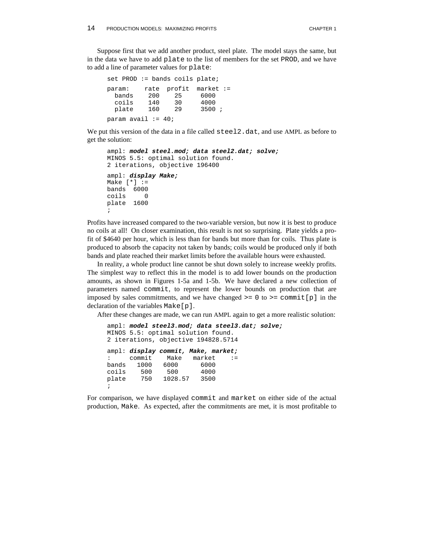Suppose first that we add another product, steel plate. The model stays the same, but in the data we have to add plate to the list of members for the set PROD, and we have to add a line of parameter values for plate:

set PROD := bands coils plate; param: rate profit market := bands 200 25 6000<br>coils 140 30 4000 coils 140 30<br>plate 160 29 plate 160 29 3500 ; param avail  $:= 40;$ 

We put this version of the data in a file called  $\text{steel2.dat}$ , and use AMPL as before to get the solution:

```
ampl: model steel.mod; data steel2.dat; solve;
MINOS 5.5: optimal solution found.
2 iterations, objective 196400
ampl: display Make;
Make [*] :=bands 6000
coils 0
plate 1600
;
```
Profits have increased compared to the two-variable version, but now it is best to produce no coils at all! On closer examination, this result is not so surprising. Plate yields a profit of \$4640 per hour, which is less than for bands but more than for coils. Thus plate is produced to absorb the capacity not taken by bands; coils would be produced only if both bands and plate reached their market limits before the available hours were exhausted.

In reality, a whole product line cannot be shut down solely to increase weekly profits. The simplest way to reflect this in the model is to add lower bounds on the production amounts, as shown in Figures 1-5a and 1-5b. We have declared a new collection of parameters named commit, to represent the lower bounds on production that are imposed by sales commitments, and we have changed  $\geq 0$  to  $\geq$  commit[p] in the declaration of the variables Make  $[p]$ .

After these changes are made, we can run AMPL again to get a more realistic solution:

```
ampl: model steel3.mod; data steel3.dat; solve;
MINOS 5.5: optimal solution found.
2 iterations, objective 194828.5714
ampl: display commit, Make, market;
     : commit Make market :=
bands 1000 6000 6000
coils 500 500 4000
plate 750 1028.57 3500
;
```
For comparison, we have displayed commit and market on either side of the actual production, Make. As expected, after the commitments are met, it is most profitable to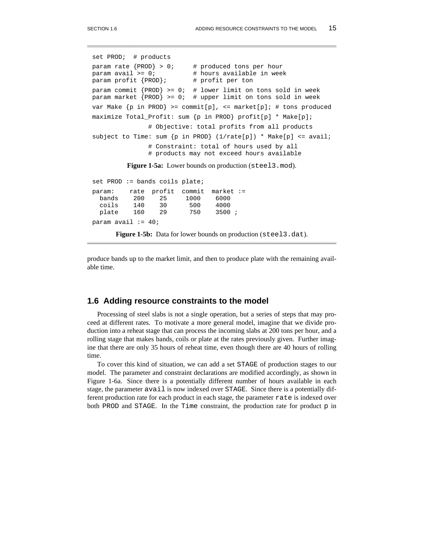```
set PROD; # products
param rate {PROD} > 0; # produced tons per hour
param avail >= 0; # hours available in week
param profit {PROD}; # profit per ton
param commit {PROD} >= 0; # lower limit on tons sold in week
param market \{PROD\} >= 0; # upper limit on tons sold in week
var Make \{p \text{ in } PROD\} >= commit[p], <= market[p]; # tons produced
maximize Total_Profit: sum {p in PROD} profit[p] * Make[p];
               # Objective: total profits from all products
subject to Time: sum \{p \text{ in } PROD\} (1/rate[p]) * Make[p] <= avail;
               # Constraint: total of hours used by all
               # products may not exceed hours available
```
**Figure 1-5a:** Lower bounds on production (steel3.mod).

| $set$ PROD := bands coils plate; |      |        |        |             |  |
|----------------------------------|------|--------|--------|-------------|--|
| param:                           | rate | profit | commit | $market :=$ |  |
| bands                            | 200  | 25     | 1000   | 6000        |  |
| coils                            | 140  | 30     | 500    | 4000        |  |
| plate                            | 160  | 29     | 750    | 3500i       |  |
|                                  |      |        |        |             |  |

param avail  $:= 40$ ;

**Figure 1-5b:** Data for lower bounds on production (steel3.dat). \_\_\_\_\_\_\_\_\_\_\_\_\_\_\_\_\_\_\_\_\_\_\_\_\_\_\_\_\_\_\_\_\_\_\_\_\_\_\_\_\_\_\_\_\_\_\_\_\_\_\_\_\_\_\_\_\_\_\_\_\_\_\_\_\_\_\_\_\_\_\_\_ \_\_\_\_\_\_\_\_\_\_\_\_\_\_\_\_\_\_\_\_\_\_\_\_\_\_\_\_\_\_\_\_\_\_\_\_\_\_\_\_\_\_\_\_\_\_\_\_\_\_\_\_\_

produce bands up to the market limit, and then to produce plate with the remaining available time.

#### **1.6 Adding resource constraints to the model**

\_\_\_\_\_\_\_\_\_\_\_\_\_\_\_\_\_\_\_\_\_\_\_\_\_\_\_\_\_\_\_\_\_\_\_\_\_\_\_\_\_\_\_\_\_\_\_\_\_\_\_\_\_\_\_\_\_\_\_\_\_\_\_\_\_\_\_\_\_\_\_\_\_\_\_\_\_\_\_\_\_\_\_\_\_\_\_\_\_\_\_\_\_\_\_\_\_\_\_\_\_\_\_\_\_\_\_\_\_\_\_\_\_\_\_\_\_\_\_\_\_\_\_\_\_\_\_

Processing of steel slabs is not a single operation, but a series of steps that may proceed at different rates. To motivate a more general model, imagine that we divide production into a reheat stage that can process the incoming slabs at 200 tons per hour, and a rolling stage that makes bands, coils or plate at the rates previously given. Further imagine that there are only 35 hours of reheat time, even though there are 40 hours of rolling time.

To cover this kind of situation, we can add a set STAGE of production stages to our model. The parameter and constraint declarations are modified accordingly, as shown in Figure 1-6a. Since there is a potentially different number of hours available in each stage, the parameter avail is now indexed over STAGE. Since there is a potentially different production rate for each product in each stage, the parameter rate is indexed over both PROD and STAGE. In the Time constraint, the production rate for product p in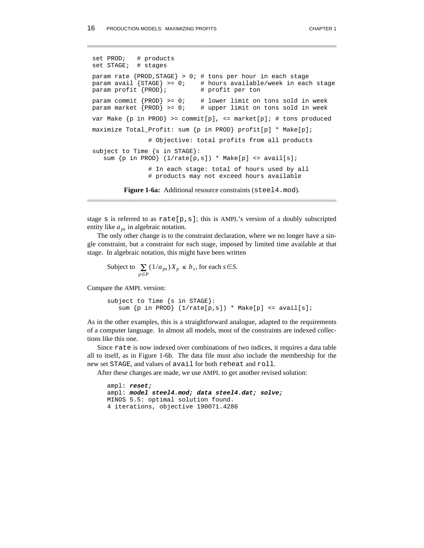```
set PROD; # products
set STAGE; # stages
param rate {PROD, STAGE} > 0; # tons per hour in each stage<br>param avail {STAGE} >= 0; # hours available/week in eac
                                 # hours available/week in each stage<br># profit per ton
param profit {PROD};
param commit {PROD} > = 0; # lower limit on tons sold in week
param market {PROD} > = 0; # upper limit on tons sold in week
var Make {p \text{ in } PROD} >= commit[p], <= market[p]; # tons produced
maximize Total_Profit: sum {p in PROD} profit[p] * Make[p];
                 # Objective: total profits from all products
subject to Time {s in STAGE}:
   sum \{p \text{ in } PROD\} (1/rate[p,s]) * Make[p] <= avail[s];
                 # In each stage: total of hours used by all
                 # products may not exceed hours available
```
Figure 1-6a: Additional resource constraints (steel4.mod).  $\mathcal{L} = \{ \mathcal{L} = \{ \mathcal{L} = \{ \mathcal{L} = \mathcal{L} \} \mid \mathcal{L} = \{ \mathcal{L} = \{ \mathcal{L} = \mathcal{L} = \mathcal{L} = \mathcal{L} = \mathcal{L} = \mathcal{L} = \mathcal{L} = \mathcal{L} = \mathcal{L} = \mathcal{L} = \mathcal{L} = \mathcal{L} = \mathcal{L} = \mathcal{L} = \mathcal{L} = \mathcal{L} = \mathcal{L} = \mathcal{L} = \mathcal{L} = \mathcal{L} = \mathcal{L} = \mathcal{L} = \mathcal{$ 

stage s is referred to as  $rate[p, s]$ ; this is AMPL's version of a doubly subscripted entity like *aps* in algebraic notation.

The only other change is to the constraint declaration, where we no longer have a single constraint, but a constraint for each stage, imposed by limited time available at that stage. In algebraic notation, this might have been written

Subject to  $\sum_{s \in \mathbb{R}} (1/a_{ps}) X_p \le b_s$ , for each  $s \in S$ . *p* ∈*P*

\_\_\_\_\_\_\_\_\_\_\_\_\_\_\_\_\_\_\_\_\_\_\_\_\_\_\_\_\_\_\_\_\_\_\_\_\_\_\_\_\_\_\_\_\_\_\_\_\_\_\_\_\_\_\_\_\_\_\_\_\_\_\_\_\_\_\_\_\_\_\_\_\_\_\_\_\_\_\_\_\_\_\_\_\_\_\_\_\_\_\_\_\_\_\_\_\_\_\_\_\_\_\_\_\_\_\_\_\_\_\_\_\_\_\_\_\_\_\_\_\_\_\_\_\_\_\_

Compare the AMPL version:

```
subject to Time {s in STAGE}:
   sum {p \text{ in } PROD} (1/\text{rate}[p,s]) * Make[p] <= avail[s];
```
As in the other examples, this is a straightforward analogue, adapted to the requirements of a computer language. In almost all models, most of the constraints are indexed collections like this one.

Since rate is now indexed over combinations of two indices, it requires a data table all to itself, as in Figure 1-6b. The data file must also include the membership for the new set STAGE, and values of avail for both reheat and roll.

After these changes are made, we use AMPL to get another revised solution:

```
ampl: reset;
ampl: model steel4.mod; data steel4.dat; solve;
MINOS 5.5: optimal solution found.
4 iterations, objective 190071.4286
```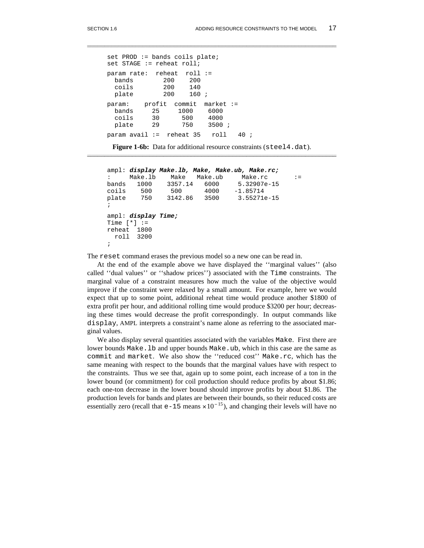```
set PROD := bands coils plate;
set STAGE := reheat roll;
param rate: reheat roll :=
 bands 200 200
 coils 200 140
 plate 200 160 ;
param: profit commit market :=
 bands 25 1000 6000
 coils 30 500 4000<br>plate 29 750 3500
 plate 29 750 3500 ;
param avail := reheat 35 roll 40 ;
```
\_\_\_\_\_\_\_\_\_\_\_\_\_\_\_\_\_\_\_\_\_\_\_\_\_\_\_\_\_\_\_\_\_\_\_\_\_\_\_\_\_\_\_\_\_\_\_\_\_\_\_\_\_\_\_\_\_\_\_\_\_\_\_\_\_\_\_\_\_\_\_\_\_\_\_\_\_\_\_\_\_\_\_\_\_\_\_\_\_\_\_\_\_\_\_\_\_\_\_\_\_\_\_\_\_\_\_\_\_\_\_\_\_\_\_\_\_\_\_\_\_\_\_\_\_\_\_

Figure 1-6b: Data for additional resource constraints (steel4.dat).  $\blacksquare$ 

\_\_\_\_\_\_\_\_\_\_\_\_\_\_\_\_\_\_\_\_\_\_\_\_\_\_\_\_\_\_\_\_\_\_\_\_\_\_\_\_\_\_\_\_\_\_\_\_\_\_\_\_\_\_\_\_\_\_\_\_\_\_\_\_\_\_\_\_\_\_\_\_ \_\_\_\_\_\_\_\_\_\_\_\_\_\_\_\_\_\_\_\_\_\_\_\_\_\_\_\_\_\_\_\_\_\_\_\_\_\_\_\_\_\_\_\_\_\_\_\_\_\_\_\_\_\_\_\_\_\_\_\_\_\_\_\_\_\_\_\_\_\_\_\_\_\_\_\_\_\_\_\_\_\_\_\_\_\_\_\_\_\_\_\_\_\_\_\_\_\_\_\_\_\_\_\_\_\_\_\_\_\_\_\_\_\_\_\_\_\_\_\_\_\_\_\_\_\_\_\_\_\_\_\_\_\_\_\_\_\_\_\_\_\_\_\_\_\_\_\_\_\_\_\_\_\_\_\_\_\_\_\_\_\_\_\_\_\_\_\_\_\_\_\_\_\_\_\_\_\_\_\_

ampl: **display Make.lb, Make, Make.ub, Make.rc;** Make.lb Make Make.ub Make.rc := bands 1000 3357.14 6000 5.32907e-15<br>coils 500 500 4000 -1.85714 coils 500 500 4000 -1.85714<br>plate 750 3142.86 3500 3.55271 plate 750 3142.86 3500 3.55271e-15 ; ampl: **display Time;** Time [\*] := reheat 1800 roll 3200 ;

The reset command erases the previous model so a new one can be read in.

At the end of the example above we have displayed the ''marginal values'' (also called ''dual values'' or ''shadow prices'') associated with the Time constraints. The marginal value of a constraint measures how much the value of the objective would improve if the constraint were relaxed by a small amount. For example, here we would expect that up to some point, additional reheat time would produce another \$1800 of extra profit per hour, and additional rolling time would produce \$3200 per hour; decreasing these times would decrease the profit correspondingly. In output commands like display, AMPL interprets a constraint's name alone as referring to the associated marginal values.

We also display several quantities associated with the variables Make. First there are lower bounds Make.lb and upper bounds Make.ub, which in this case are the same as commit and market. We also show the ''reduced cost'' Make.rc, which has the same meaning with respect to the bounds that the marginal values have with respect to the constraints. Thus we see that, again up to some point, each increase of a ton in the lower bound (or commitment) for coil production should reduce profits by about \$1.86; each one-ton decrease in the lower bound should improve profits by about \$1.86. The production levels for bands and plates are between their bounds, so their reduced costs are essentially zero (recall that  $e-15$  means  $\times 10^{-15}$ ), and changing their levels will have no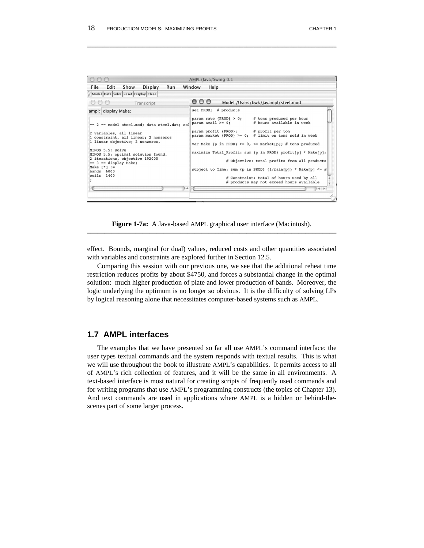| AMPL/Java/Swing 0.1                                             |                                                                                                                  |  |  |
|-----------------------------------------------------------------|------------------------------------------------------------------------------------------------------------------|--|--|
| Edit<br>Show<br>Display<br>File<br>Run                          | Window<br>Help                                                                                                   |  |  |
| Model Data Solve Reset Display Clear                            |                                                                                                                  |  |  |
| Transcript                                                      | 000<br>Model /Users/bwk/javampl/steel.mod                                                                        |  |  |
| ampl: display Make;                                             | set PROD; # products                                                                                             |  |  |
| == 2 == model steel.mod; data steel.dat; sol                    | # tons produced per hour<br>param rate $\{PROD\} > 0$ ;<br>$param \ available = 0;$<br># hours available in week |  |  |
| 2 variables, all linear<br>1 constraint, all linear; 2 nonzeros | param profit {PROD};<br># profit per ton<br>param market $\{PROD\}$ >= 0; # limit on tons sold in week           |  |  |
| 1 linear objective; 2 nonzeros.                                 | var Make {p in PROD} >= 0, <= market[p]; # tons produced                                                         |  |  |
| MINOS 5.5: solve<br>MINOS 5.5: optimal solution found.          | maximize Total Profit: sum {p in PROD} profit[p] * Make[p];                                                      |  |  |
| 2 iterations, objective 192000<br>$== 3 == display Make;$       | # Objective: total profits from all products                                                                     |  |  |
| Make $[*] :=$<br>bands 6000<br>$coils$ 1400                     | subject to Time: sum {p in PROD} (1/rate[p]) * Make[p] <= a                                                      |  |  |
|                                                                 | # Constraint: total of hours used by all<br># products may not exceed hours available                            |  |  |
| $-4$                                                            |                                                                                                                  |  |  |
|                                                                 |                                                                                                                  |  |  |

**Figure 1-7a:** A Java-based AMPL graphical user interface (Macintosh). \_\_\_\_\_\_\_\_\_\_\_\_\_\_\_\_\_\_\_\_\_\_\_\_\_\_\_\_\_\_\_\_\_\_\_\_\_\_\_\_\_\_\_\_\_\_\_\_\_\_\_\_\_\_\_\_\_\_\_\_\_\_\_\_\_\_\_\_\_\_\_\_ \_\_\_\_\_\_\_\_\_\_\_\_\_\_\_\_\_\_\_\_\_\_\_\_\_\_\_\_\_\_\_\_\_\_\_\_\_\_\_\_\_\_\_\_\_\_\_\_\_\_\_\_\_

\_\_\_\_\_\_\_\_\_\_\_\_\_\_\_\_\_\_\_\_\_\_\_\_\_\_\_\_\_\_\_\_\_\_\_\_\_\_\_\_\_\_\_\_\_\_\_\_\_\_\_\_\_\_\_\_\_\_\_\_\_\_\_\_\_\_\_\_\_\_\_\_\_\_\_\_\_\_\_\_\_\_\_\_\_\_\_\_\_\_\_\_\_\_\_\_\_\_\_\_\_\_\_\_\_\_\_\_\_\_\_\_\_\_\_\_\_\_\_\_\_\_\_\_\_\_\_

effect. Bounds, marginal (or dual) values, reduced costs and other quantities associated with variables and constraints are explored further in Section 12.5.

Comparing this session with our previous one, we see that the additional reheat time restriction reduces profits by about \$4750, and forces a substantial change in the optimal solution: much higher production of plate and lower production of bands. Moreover, the logic underlying the optimum is no longer so obvious. It is the difficulty of solving LPs by logical reasoning alone that necessitates computer-based systems such as AMPL.

# **1.7 AMPL interfaces**

The examples that we have presented so far all use AMPL's command interface: the user types textual commands and the system responds with textual results. This is what we will use throughout the book to illustrate AMPL's capabilities. It permits access to all of AMPL's rich collection of features, and it will be the same in all environments. A text-based interface is most natural for creating scripts of frequently used commands and for writing programs that use AMPL's programming constructs (the topics of Chapter 13). And text commands are used in applications where AMPL is a hidden or behind-thescenes part of some larger process.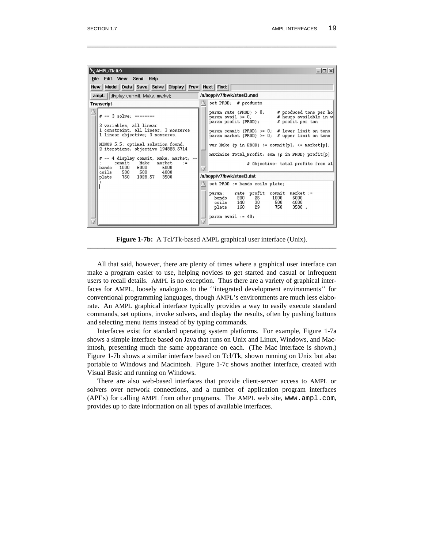| $\times$ AMPL/Tk 0.9                                                                                                                                                                                                                                                                                                                                                                    | $  D $ $\times$                                                                                                                                                                                                                                                                                                                                                                                                                                                                                                                                                                                                                                                                     |
|-----------------------------------------------------------------------------------------------------------------------------------------------------------------------------------------------------------------------------------------------------------------------------------------------------------------------------------------------------------------------------------------|-------------------------------------------------------------------------------------------------------------------------------------------------------------------------------------------------------------------------------------------------------------------------------------------------------------------------------------------------------------------------------------------------------------------------------------------------------------------------------------------------------------------------------------------------------------------------------------------------------------------------------------------------------------------------------------|
| Edit View Send Help<br><b>File</b>                                                                                                                                                                                                                                                                                                                                                      |                                                                                                                                                                                                                                                                                                                                                                                                                                                                                                                                                                                                                                                                                     |
| New   Model   Data   Save   Solve   Display   Prev   Next   Find:                                                                                                                                                                                                                                                                                                                       |                                                                                                                                                                                                                                                                                                                                                                                                                                                                                                                                                                                                                                                                                     |
| ampl:   display commit, Make, market;                                                                                                                                                                                                                                                                                                                                                   | /n/bopp/v7/bwk/steel3.mod                                                                                                                                                                                                                                                                                                                                                                                                                                                                                                                                                                                                                                                           |
| <b>Transcript</b>                                                                                                                                                                                                                                                                                                                                                                       | set PROD; # products                                                                                                                                                                                                                                                                                                                                                                                                                                                                                                                                                                                                                                                                |
| $# == 3 solve:  \n= 3$<br>3 variables, all linear<br>1 constraint, all linear; 3 nonzeros<br>1 linear objective; 3 nonzeros.<br>MINOS 5.5: optimal solution found.<br>2 iterations, objective 194828.5714<br># == 4 display commit, Make, market; ==<br>commit<br>Make<br>market<br>$\cdot =$<br>1000<br>6000<br>6000<br>hands<br>coils 500<br>500 4000<br>750<br>1028.57 3500<br>plate | param rate {PROD} > 0; # produced tons per ho<br>$\frac{1}{2}$ param avail $\rightarrow$ = 0; # hours available in w<br>param profit {PROD};<br># profit per ton<br>param commit $\{PROD\}$ >= 0; # lower limit on tons<br>param market $\{PROD\}$ >= 0; # upper limit on tons<br>var Make {p in PROD} >= commit[p], $\leq$ market[p];<br>maximize Total Profit: sum {p in PROD} profit[p]<br># Objective: total profits from al<br>/n/bopp/v7/bwk/steel3.dat<br>set PROD := bands coils plate;<br>rate profit commit market :=<br>param:<br>200<br>25<br>1000<br>6000<br>bands<br>30<br>500<br>coils<br>140<br>4000<br>29<br>750<br>3500:<br>160<br>plate<br>param avail $:= 40$ ; |

**Figure 1-7b:** A Tcl/Tk-based AMPL graphical user interface (Unix). \_\_\_\_\_\_\_\_\_\_\_\_\_\_\_\_\_\_\_\_\_\_\_\_\_\_\_\_\_\_\_\_\_\_\_\_\_\_\_\_\_\_\_\_\_\_\_\_\_\_\_\_\_\_\_\_\_\_\_\_\_\_\_\_\_\_\_\_\_\_\_\_ \_\_\_\_\_\_\_\_\_\_\_\_\_\_\_\_\_\_\_\_\_\_\_\_\_\_\_\_\_\_\_\_\_\_\_\_\_\_\_\_\_\_\_\_\_\_\_\_\_\_\_\_\_

\_\_\_\_\_\_\_\_\_\_\_\_\_\_\_\_\_\_\_\_\_\_\_\_\_\_\_\_\_\_\_\_\_\_\_\_\_\_\_\_\_\_\_\_\_\_\_\_\_\_\_\_\_\_\_\_\_\_\_\_\_\_\_\_\_\_\_\_\_\_\_\_\_\_\_\_\_\_\_\_\_\_\_\_\_\_\_\_\_\_\_\_\_\_\_\_\_\_\_\_\_\_\_\_\_\_\_\_\_\_\_\_\_\_\_\_\_\_\_\_\_\_\_\_\_\_\_

All that said, however, there are plenty of times where a graphical user interface can make a program easier to use, helping novices to get started and casual or infrequent users to recall details. AMPL is no exception. Thus there are a variety of graphical interfaces for AMPL, loosely analogous to the ''integrated development environments'' for conventional programming languages, though AMPL's environments are much less elaborate. An AMPL graphical interface typically provides a way to easily execute standard commands, set options, invoke solvers, and display the results, often by pushing buttons and selecting menu items instead of by typing commands.

Interfaces exist for standard operating system platforms. For example, Figure 1-7a shows a simple interface based on Java that runs on Unix and Linux, Windows, and Macintosh, presenting much the same appearance on each. (The Mac interface is shown.) Figure 1-7b shows a similar interface based on Tcl/Tk, shown running on Unix but also portable to Windows and Macintosh. Figure 1-7c shows another interface, created with Visual Basic and running on Windows.

There are also web-based interfaces that provide client-server access to AMPL or solvers over network connections, and a number of application program interfaces (API's) for calling AMPL from other programs. The AMPL web site, www.ampl.com, provides up to date information on all types of available interfaces.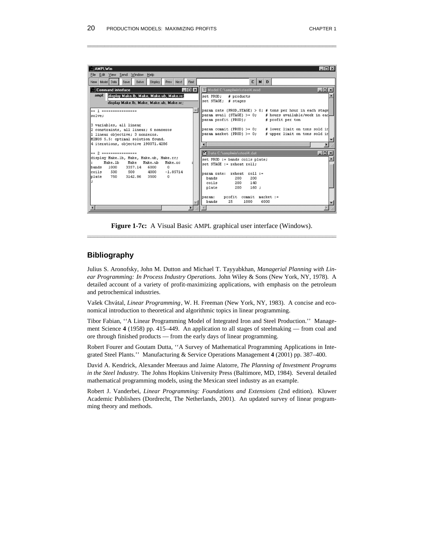| <b>AMPLWin</b>                                                                                                                            | $ \Box$ $\times$                                                                                                                                                                  |
|-------------------------------------------------------------------------------------------------------------------------------------------|-----------------------------------------------------------------------------------------------------------------------------------------------------------------------------------|
| File Edit View Send Window Help                                                                                                           |                                                                                                                                                                                   |
| New Model Data<br>Solve<br>Display<br>Next<br>Save<br>Prev<br>Find:                                                                       | M<br>c I<br>D                                                                                                                                                                     |
| $\Box$ d $\boxtimes$<br>Command interface                                                                                                 | $ \Box$ $\times$<br>Model C:\amplwin\steel4.mod                                                                                                                                   |
| display Make.lb, Make, Make.ub, Make.rc;<br>ampl:                                                                                         | set PROD;<br># products                                                                                                                                                           |
| display Make.lb, Make, Make.ub, Make.rc;                                                                                                  | $\left  \text{set }\text{STAGE} \right\rangle$ # stages                                                                                                                           |
| -- 1 -----------------<br>solve:                                                                                                          | param rate {PROD, STAGE} > 0; # tons per hour in each stage<br>$\frac{1}{2}$ param avail (STAGE) >= 0; # hours available/week in each<br>param profit (PROD);<br># profit per ton |
| 3 variables, all linear<br>2 constraints, all linear; 6 nonzeros<br>1 linear objective; 3 nonzeros.<br>MINOS 5.5: optimal solution found. | $ $ param commit {PROD} >= 0;<br># lower limit on tons sold in<br>$\lvert$ param market (PROD) >= 0;<br># upper limit on tons sold in                                             |
| 4 iterations, objective 190071.4286                                                                                                       |                                                                                                                                                                                   |
| -- 2 ----------------                                                                                                                     | $ \Box$ $\times$<br>Data C:\amplwin\steel4.dat                                                                                                                                    |
| display Make.lb, Make, Make.ub, Make.rc;<br>Make.lb<br>Make<br>Make.ub<br>Make.rc<br>1000<br>3357.14<br>6000<br>$\Omega$<br>bands         | set PROD := bands coils plate;<br>set STAGE := reheat roll:                                                                                                                       |
| coils<br>500<br>500<br>4000<br>$-1.85714$<br>blate<br>3142.86 3500<br>750<br>$\Omega$                                                     | maram rate: reheat roll :=<br>hands<br>200<br>200<br>coils<br>200<br>140<br>plate<br>200<br>160:                                                                                  |
|                                                                                                                                           | profit commit market :=<br>lparam:<br>2.5<br>1000<br>6000<br>hands                                                                                                                |
|                                                                                                                                           |                                                                                                                                                                                   |

**Figure 1-7c:** A Visual Basic AMPL graphical user interface (Windows).  $\mathcal{L} = \{ \mathcal{L} = \{ \mathcal{L} = \{ \mathcal{L} = \mathcal{L} \} \mid \mathcal{L} = \{ \mathcal{L} = \{ \mathcal{L} = \mathcal{L} = \mathcal{L} = \mathcal{L} = \mathcal{L} = \mathcal{L} = \mathcal{L} = \mathcal{L} = \mathcal{L} = \mathcal{L} = \mathcal{L} = \mathcal{L} = \mathcal{L} = \mathcal{L} = \mathcal{L} = \mathcal{L} = \mathcal{L} = \mathcal{L} = \mathcal{L} = \mathcal{L} = \mathcal{L} = \mathcal{L} = \mathcal{$ 

\_\_\_\_\_\_\_\_\_\_\_\_\_\_\_\_\_\_\_\_\_\_\_\_\_\_\_\_\_\_\_\_\_\_\_\_\_\_\_\_\_\_\_\_\_\_\_\_\_\_\_\_\_\_\_\_\_\_\_\_\_\_\_\_\_\_\_\_\_\_\_\_\_\_\_\_\_\_\_\_\_\_\_\_\_\_\_\_\_\_\_\_\_\_\_\_\_\_\_\_\_\_\_\_\_\_\_\_\_\_\_\_\_\_\_\_\_\_\_\_\_\_\_\_\_\_\_

# **Bibliography**

Julius S. Aronofsky, John M. Dutton and Michael T. Tayyabkhan, *Managerial Planning with Linear Programming: In Process Industry Operations.* John Wiley & Sons (New York, NY, 1978). A detailed account of a variety of profit-maximizing applications, with emphasis on the petroleum and petrochemical industries.

Vašek Chvátal, *Linear Programming*, W. H. Freeman (New York, NY, 1983). A concise and economical introduction to theoretical and algorithmic topics in linear programming.

Tibor Fabian, ''A Linear Programming Model of Integrated Iron and Steel Production.'' Management Science **4** (1958) pp. 415–449. An application to all stages of steelmaking — from coal and ore through finished products — from the early days of linear programming.

Robert Fourer and Goutam Dutta, ''A Survey of Mathematical Programming Applications in Integrated Steel Plants.'' Manufacturing & Service Operations Management **4** (2001) pp. 387–400.

David A. Kendrick, Alexander Meeraus and Jaime Alatorre, *The Planning of Investment Programs in the Steel Industry.* The Johns Hopkins University Press (Baltimore, MD, 1984). Several detailed mathematical programming models, using the Mexican steel industry as an example.

Robert J. Vanderbei, *Linear Programming: Foundations and Extensions* (2nd edition). Kluwer Academic Publishers (Dordrecht, The Netherlands, 2001). An updated survey of linear programming theory and methods.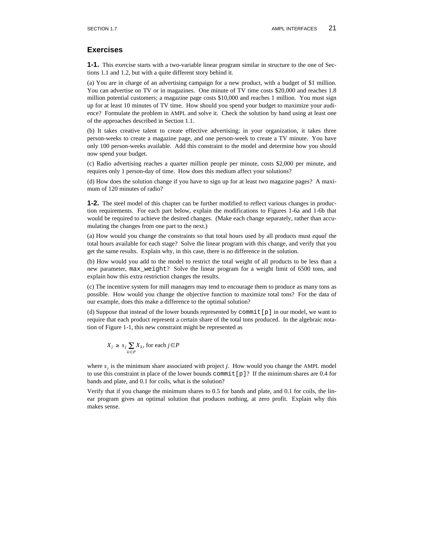### **Exercises**

**1-1.** This exercise starts with a two-variable linear program similar in structure to the one of Sections 1.1 and 1.2, but with a quite different story behind it.

(a) You are in charge of an advertising campaign for a new product, with a budget of \$1 million. You can advertise on TV or in magazines. One minute of TV time costs \$20,000 and reaches 1.8 million potential customers; a magazine page costs \$10,000 and reaches 1 million. You must sign up for at least 10 minutes of TV time. How should you spend your budget to maximize your audience? Formulate the problem in AMPL and solve it. Check the solution by hand using at least one of the approaches described in Section 1.1.

(b) It takes creative talent to create effective advertising; in your organization, it takes three person-weeks to create a magazine page, and one person-week to create a TV minute. You have only 100 person-weeks available. Add this constraint to the model and determine how you should now spend your budget.

(c) Radio advertising reaches a quarter million people per minute, costs \$2,000 per minute, and requires only 1 person-day of time. How does this medium affect your solutions?

(d) How does the solution change if you have to sign up for at least two magazine pages? A maximum of 120 minutes of radio?

**1-2.** The steel model of this chapter can be further modified to reflect various changes in production requirements. For each part below, explain the modifications to Figures 1-6a and 1-6b that would be required to achieve the desired changes. (Make each change separately, rather than accumulating the changes from one part to the next.)

(a) How would you change the constraints so that total hours used by all products must *equal* the total hours available for each stage? Solve the linear program with this change, and verify that you get the same results. Explain why, in this case, there is no difference in the solution.

(b) How would you add to the model to restrict the total weight of all products to be less than a new parameter, max\_weight? Solve the linear program for a weight limit of 6500 tons, and explain how this extra restriction changes the results.

(c) The incentive system for mill managers may tend to encourage them to produce as many tons as possible. How would you change the objective function to maximize total tons? For the data of our example, does this make a difference to the optimal solution?

(d) Suppose that instead of the lower bounds represented by  $commit[p]$  in our model, we want to require that each product represent a certain share of the total tons produced. In the algebraic notation of Figure 1-1, this new constraint might be represented as

$$
X_j \geq s_j \sum_{k \in P} X_k
$$
, for each  $j \in P$ 

where  $s_i$  is the minimum share associated with project *j*. How would you change the AMPL model to use this constraint in place of the lower bounds commit [p]? If the minimum shares are 0.4 for bands and plate, and 0.1 for coils, what is the solution?

Verify that if you change the minimum shares to 0.5 for bands and plate, and 0.1 for coils, the linear program gives an optimal solution that produces nothing, at zero profit. Explain why this makes sense.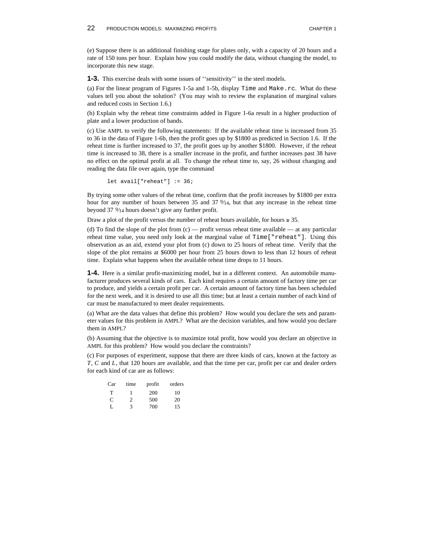(e) Suppose there is an additional finishing stage for plates only, with a capacity of 20 hours and a rate of 150 tons per hour. Explain how you could modify the data, without changing the model, to incorporate this new stage.

**1-3.** This exercise deals with some issues of ''sensitivity'' in the steel models.

(a) For the linear program of Figures 1-5a and 1-5b, display  $Time$  and Make.rc. What do these values tell you about the solution? (You may wish to review the explanation of marginal values and reduced costs in Section 1.6.)

(b) Explain why the reheat time constraints added in Figure 1-6a result in a higher production of plate and a lower production of bands.

(c) Use AMPL to verify the following statements: If the available reheat time is increased from 35 to 36 in the data of Figure 1-6b, then the profit goes up by \$1800 as predicted in Section 1.6. If the reheat time is further increased to 37, the profit goes up by another \$1800. However, if the reheat time is increased to 38, there is a smaller increase in the profit, and further increases past 38 have no effect on the optimal profit at all. To change the reheat time to, say, 26 without changing and reading the data file over again, type the command

let avail["reheat"] := 36;

By trying some other values of the reheat time, confirm that the profit increases by \$1800 per extra hour for any number of hours between 35 and 37 9*/*14, but that any increase in the reheat time beyond 37 9*/*14 hours doesn't give any further profit.

Draw a plot of the profit versus the number of reheat hours available, for hours  $\geq 35$ .

(d) To find the slope of the plot from  $(c)$  — profit versus reheat time available — at any particular reheat time value, you need only look at the marginal value of Time["reheat"]. Using this observation as an aid, extend your plot from (c) down to 25 hours of reheat time. Verify that the slope of the plot remains at \$6000 per hour from 25 hours down to less than 12 hours of reheat time. Explain what happens when the available reheat time drops to 11 hours.

**1-4.** Here is a similar profit-maximizing model, but in a different context. An automobile manufacturer produces several kinds of cars. Each kind requires a certain amount of factory time per car to produce, and yields a certain profit per car. A certain amount of factory time has been scheduled for the next week, and it is desired to use all this time; but at least a certain number of each kind of car must be manufactured to meet dealer requirements.

(a) What are the data values that define this problem? How would you declare the sets and parameter values for this problem in AMPL? What are the decision variables, and how would you declare them in AMPL?

(b) Assuming that the objective is to maximize total profit, how would you declare an objective in AMPL for this problem? How would you declare the constraints?

(c) For purposes of experiment, suppose that there are three kinds of cars, known at the factory as *T*, *C* and *L*, that 120 hours are available, and that the time per car, profit per car and dealer orders for each kind of car are as follows:

| Car | time | profit | orders |
|-----|------|--------|--------|
| т   |      | 200    | 10     |
| C   | 2    | 500    | 20     |
| L   | 3    | 700    | 15     |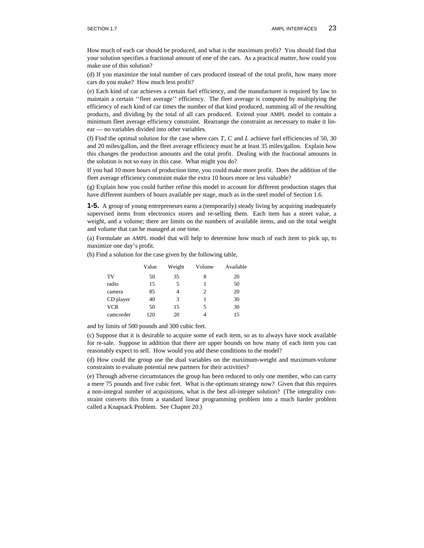How much of each car should be produced, and what is the maximum profit? You should find that your solution specifies a fractional amount of one of the cars. As a practical matter, how could you make use of this solution?

(d) If you maximize the total number of cars produced instead of the total profit, how many more cars do you make? How much less profit?

(e) Each kind of car achieves a certain fuel efficiency, and the manufacturer is required by law to maintain a certain ''fleet average'' efficiency. The fleet average is computed by multiplying the efficiency of each kind of car times the number of that kind produced, summing all of the resulting products, and dividing by the total of all cars produced. Extend your AMPL model to contain a minimum fleet average efficiency constraint. Rearrange the constraint as necessary to make it linear — no variables divided into other variables.

(f) Find the optimal solution for the case where cars *T*, *C* and *L* achieve fuel efficiencies of 50, 30 and 20 miles/gallon, and the fleet average efficiency must be at least 35 miles/gallon. Explain how this changes the production amounts and the total profit. Dealing with the fractional amounts in the solution is not so easy in this case. What might you do?

If you had 10 more hours of production time, you could make more profit. Does the addition of the fleet average efficiency constraint make the extra 10 hours more or less valuable?

(g) Explain how you could further refine this model to account for different production stages that have different numbers of hours available per stage, much as in the steel model of Section 1.6.

**1-5.** A group of young entrepreneurs earns a (temporarily) steady living by acquiring inadequately supervised items from electronics stores and re-selling them. Each item has a street value, a weight, and a volume; there are limits on the numbers of available items, and on the total weight and volume that can be managed at one time.

(a) Formulate an AMPL model that will help to determine how much of each item to pick up, to maximize one day's profit.

(b) Find a solution for the case given by the following table,

|            | Value | Weight | Volume         | Available |
|------------|-------|--------|----------------|-----------|
| TV         | 50    | 35     | 8              | 20        |
| radio      | 15    | 5      |                | 50        |
| camera     | 85    | 4      | $\mathfrak{D}$ | 20        |
| CD player  | 40    | 3      |                | 30        |
| <b>VCR</b> | 50    | 15     | 5              | 30        |
| camcorder  | 120   | 20     |                | 15        |

and by limits of 500 pounds and 300 cubic feet.

(c) Suppose that it is desirable to acquire some of each item, so as to always have stock available for re-sale. Suppose in addition that there are upper bounds on how many of each item you can reasonably expect to sell. How would you add these conditions to the model?

(d) How could the group use the dual variables on the maximum-weight and maximum-volume constraints to evaluate potential new partners for their activities?

(e) Through adverse circumstances the group has been reduced to only one member, who can carry a mere 75 pounds and five cubic feet. What is the optimum strategy now? Given that this requires a non-integral number of acquisitions, what is the best all-integer solution? (The integrality constraint converts this from a standard linear programming problem into a much harder problem called a Knapsack Problem. See Chapter 20.)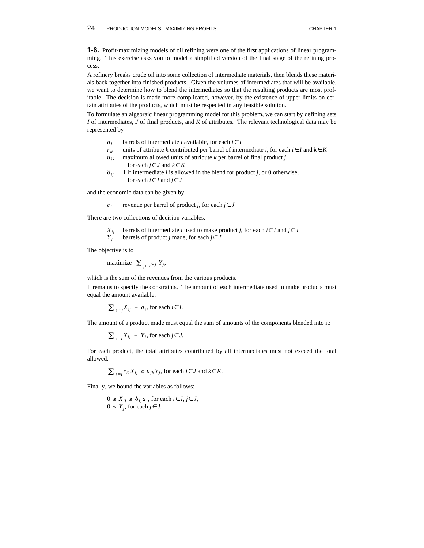**1-6.** Profit-maximizing models of oil refining were one of the first applications of linear programming. This exercise asks you to model a simplified version of the final stage of the refining process.

A refinery breaks crude oil into some collection of intermediate materials, then blends these materials back together into finished products. Given the volumes of intermediates that will be available, we want to determine how to blend the intermediates so that the resulting products are most profitable. The decision is made more complicated, however, by the existence of upper limits on certain attributes of the products, which must be respected in any feasible solution.

To formulate an algebraic linear programming model for this problem, we can start by defining sets *I* of intermediates, *J* of final products, and *K* of attributes. The relevant technological data may be represented by

- *a<sub>i</sub>* barrels of intermediate *i* available, for each  $i \in I$
- *r*<sub>ik</sub> units of attribute *k* contributed per barrel of intermediate *i*, for each *i* ∈*I* and  $k \in K$
- $u_{jk}$  maximum allowed units of attribute  $k$  per barrel of final product *j*, for each  $j \in J$  and  $k \in K$
- $\delta_{ij}$  1 if intermediate *i* is allowed in the blend for product *j*, or 0 otherwise, for each  $i \in I$  and  $j \in J$

and the economic data can be given by

*c j* revenue per barrel of product *j*, for each  $j \in J$ 

There are two collections of decision variables:

- *X<sub>ij</sub>* barrels of intermediate *i* used to make product *j*, for each  $i \in I$  and  $j \in J$ <br>*Y<sub>j</sub>* barrels of product *j* made, for each  $j \in J$
- *barrels of product <i>j* made, for each  $j \in J$

The objective is to

$$
\text{maximize } \sum_{j \in J} c_j Y_j,
$$

which is the sum of the revenues from the various products.

It remains to specify the constraints. The amount of each intermediate used to make products must equal the amount available:

$$
\sum_{j \in J} X_{ij} = a_i, \text{ for each } i \in I.
$$

The amount of a product made must equal the sum of amounts of the components blended into it:

$$
\sum_{i \in I} X_{ij} = Y_j
$$
, for each  $j \in J$ .

For each product, the total attributes contributed by all intermediates must not exceed the total allowed:

$$
\sum_{i \in I} r_{ik} X_{ij} \le u_{jk} Y_j
$$
, for each  $j \in J$  and  $k \in K$ .

Finally, we bound the variables as follows:

$$
0 \le X_{ij} \le \delta_{ij} a_i
$$
, for each  $i \in I, j \in J$ ,  
\n $0 \le Y_j$ , for each  $j \in J$ .